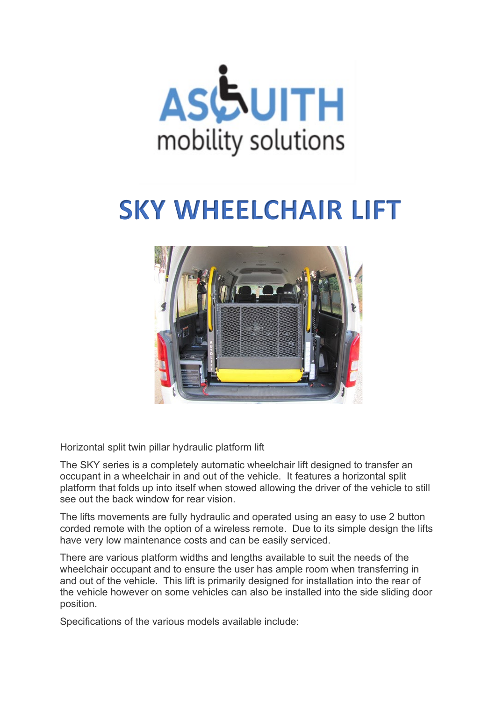

## **SKY WHEELCHAIR LIFT**



Horizontal split twin pillar hydraulic platform lift

The SKY series is a completely automatic wheelchair lift designed to transfer an occupant in a wheelchair in and out of the vehicle. It features a horizontal split platform that folds up into itself when stowed allowing the driver of the vehicle to still see out the back window for rear vision.

The lifts movements are fully hydraulic and operated using an easy to use 2 button corded remote with the option of a wireless remote. Due to its simple design the lifts have very low maintenance costs and can be easily serviced.

There are various platform widths and lengths available to suit the needs of the wheelchair occupant and to ensure the user has ample room when transferring in and out of the vehicle. This lift is primarily designed for installation into the rear of the vehicle however on some vehicles can also be installed into the side sliding door position.

Specifications of the various models available include: